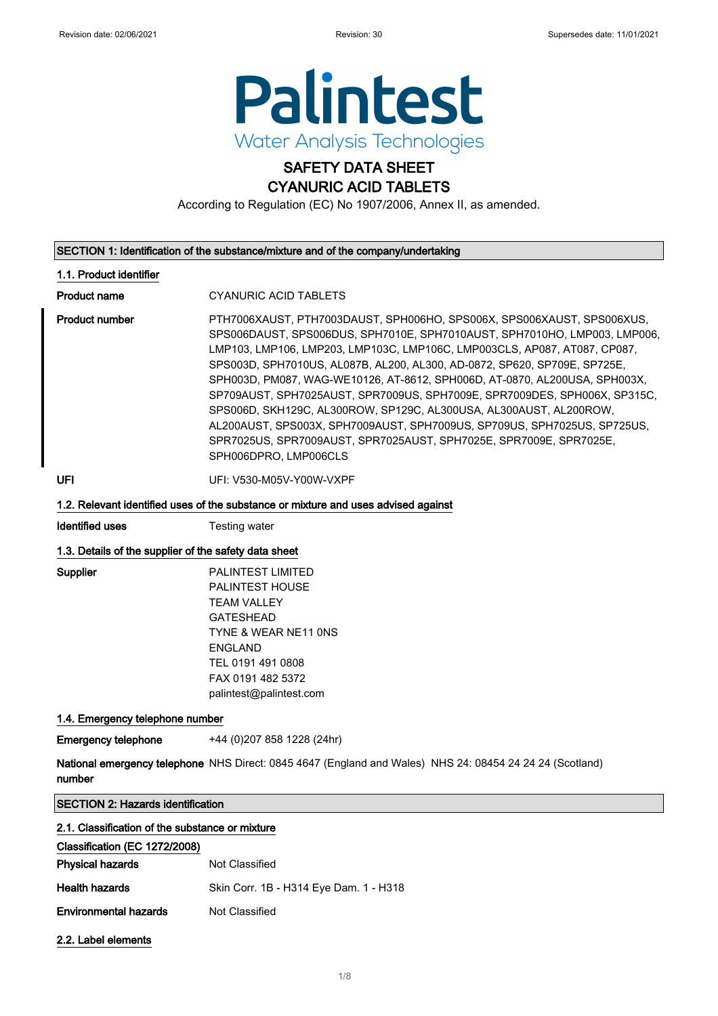

# SAFETY DATA SHEET

CYANURIC ACID TABLETS

According to Regulation (EC) No 1907/2006, Annex II, as amended.

#### SECTION 1: Identification of the substance/mixture and of the company/undertaking

### 1.1. Product identifier

Product name **CYANURIC ACID TABLETS** 

Product number **PTH7006XAUST, PTH7003DAUST, SPH006HO, SPS006X**, SPS006XAUST, SPS006XUS, SPS006DAUST, SPS006DUS, SPH7010E, SPH7010AUST, SPH7010HO, LMP003, LMP006, LMP103, LMP106, LMP203, LMP103C, LMP106C, LMP003CLS, AP087, AT087, CP087, SPS003D, SPH7010US, AL087B, AL200, AL300, AD-0872, SP620, SP709E, SP725E, SPH003D, PM087, WAG-WE10126, AT-8612, SPH006D, AT-0870, AL200USA, SPH003X, SP709AUST, SPH7025AUST, SPR7009US, SPH7009E, SPR7009DES, SPH006X, SP315C, SPS006D, SKH129C, AL300ROW, SP129C, AL300USA, AL300AUST, AL200ROW, AL200AUST, SPS003X, SPH7009AUST, SPH7009US, SP709US, SPH7025US, SP725US, SPR7025US, SPR7009AUST, SPR7025AUST, SPH7025E, SPR7009E, SPR7025E, SPH006DPRO, LMP006CLS

UFI: V530-M05V-Y00W-VXPF

### 1.2. Relevant identified uses of the substance or mixture and uses advised against

**Identified uses** Testing water

### 1.3. Details of the supplier of the safety data sheet

Supplier PALINTEST LIMITED PALINTEST HOUSE TEAM VALLEY GATESHEAD TYNE & WEAR NE11 0NS ENGLAND TEL 0191 491 0808 FAX 0191 482 5372 palintest@palintest.com

### 1.4. Emergency telephone number

Emergency telephone +44 (0)207 858 1228 (24hr)

**National emergency telephone** NHS Direct: 0845 4647 (England and Wales) NHS 24: 08454 24 24 24 (Scotland) number

SECTION 2: Hazards identification

### 2.1. Classification of the substance or mixture

### Classification (EC 1272/2008)

| <b>Physical hazards</b>      | Not Classified                         |
|------------------------------|----------------------------------------|
| Health hazards               | Skin Corr. 1B - H314 Eye Dam. 1 - H318 |
| <b>Environmental hazards</b> | Not Classified                         |

2.2. Label elements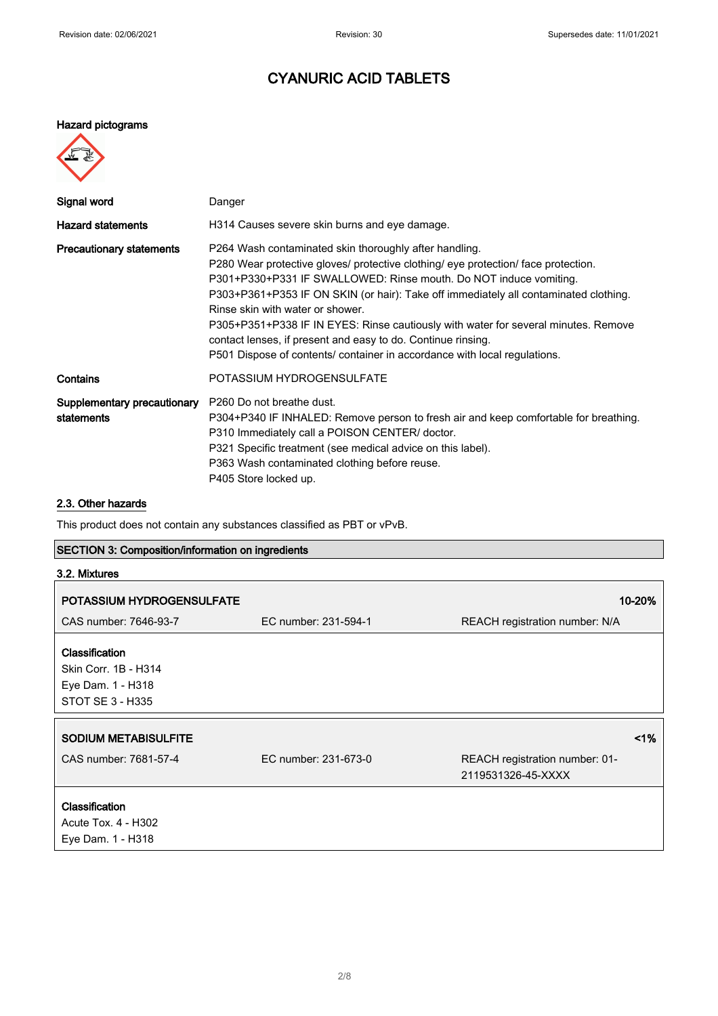### Hazard pictograms

| Signal word                               | Danger                                                                                                                                                                                                                                                                                                                                                                                                                                                                                                                                                                           |
|-------------------------------------------|----------------------------------------------------------------------------------------------------------------------------------------------------------------------------------------------------------------------------------------------------------------------------------------------------------------------------------------------------------------------------------------------------------------------------------------------------------------------------------------------------------------------------------------------------------------------------------|
| <b>Hazard statements</b>                  | H314 Causes severe skin burns and eye damage.                                                                                                                                                                                                                                                                                                                                                                                                                                                                                                                                    |
| <b>Precautionary statements</b>           | P264 Wash contaminated skin thoroughly after handling.<br>P280 Wear protective gloves/ protective clothing/ eye protection/ face protection.<br>P301+P330+P331 IF SWALLOWED: Rinse mouth. Do NOT induce vomiting.<br>P303+P361+P353 IF ON SKIN (or hair): Take off immediately all contaminated clothing.<br>Rinse skin with water or shower.<br>P305+P351+P338 IF IN EYES: Rinse cautiously with water for several minutes. Remove<br>contact lenses, if present and easy to do. Continue rinsing.<br>P501 Dispose of contents/ container in accordance with local regulations. |
| Contains                                  | POTASSIUM HYDROGENSULFATE                                                                                                                                                                                                                                                                                                                                                                                                                                                                                                                                                        |
| Supplementary precautionary<br>statements | P <sub>260</sub> Do not breathe dust.<br>P304+P340 IF INHALED: Remove person to fresh air and keep comfortable for breathing.<br>P310 Immediately call a POISON CENTER/ doctor.<br>P321 Specific treatment (see medical advice on this label).<br>P363 Wash contaminated clothing before reuse.<br>P405 Store locked up.                                                                                                                                                                                                                                                         |

### 2.3. Other hazards

This product does not contain any substances classified as PBT or vPvB.

### SECTION 3: Composition/information on ingredients

| 3.2. Mixtures                                                                   |                      |                                                      |
|---------------------------------------------------------------------------------|----------------------|------------------------------------------------------|
| POTASSIUM HYDROGENSULFATE                                                       |                      | 10-20%                                               |
| CAS number: 7646-93-7                                                           | EC number: 231-594-1 | REACH registration number: N/A                       |
| Classification<br>Skin Corr. 1B - H314<br>Eye Dam. 1 - H318<br>STOT SE 3 - H335 |                      |                                                      |
| <b>SODIUM METABISULFITE</b>                                                     |                      | 1%                                                   |
| CAS number: 7681-57-4                                                           | EC number: 231-673-0 | REACH registration number: 01-<br>2119531326-45-XXXX |
| Classification<br>Acute Tox. 4 - H302<br>Eye Dam. 1 - H318                      |                      |                                                      |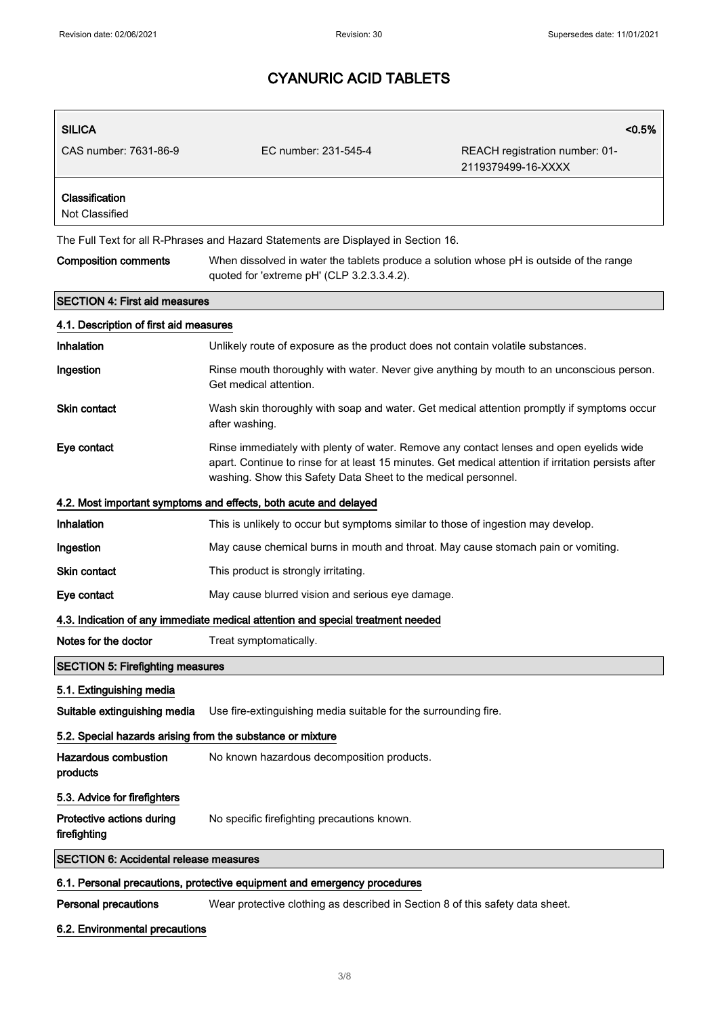| <b>SILICA</b>                                                                   |                                                                                                                                                                                                                                                                   | $< 0.5\%$                                            |  |
|---------------------------------------------------------------------------------|-------------------------------------------------------------------------------------------------------------------------------------------------------------------------------------------------------------------------------------------------------------------|------------------------------------------------------|--|
| CAS number: 7631-86-9                                                           | EC number: 231-545-4                                                                                                                                                                                                                                              | REACH registration number: 01-<br>2119379499-16-XXXX |  |
| Classification<br>Not Classified                                                |                                                                                                                                                                                                                                                                   |                                                      |  |
|                                                                                 | The Full Text for all R-Phrases and Hazard Statements are Displayed in Section 16.                                                                                                                                                                                |                                                      |  |
| <b>Composition comments</b>                                                     | When dissolved in water the tablets produce a solution whose pH is outside of the range<br>quoted for 'extreme pH' (CLP 3.2.3.3.4.2).                                                                                                                             |                                                      |  |
| <b>SECTION 4: First aid measures</b>                                            |                                                                                                                                                                                                                                                                   |                                                      |  |
| 4.1. Description of first aid measures                                          |                                                                                                                                                                                                                                                                   |                                                      |  |
| Inhalation                                                                      | Unlikely route of exposure as the product does not contain volatile substances.                                                                                                                                                                                   |                                                      |  |
| Ingestion                                                                       | Rinse mouth thoroughly with water. Never give anything by mouth to an unconscious person.<br>Get medical attention.                                                                                                                                               |                                                      |  |
| <b>Skin contact</b>                                                             | Wash skin thoroughly with soap and water. Get medical attention promptly if symptoms occur<br>after washing.                                                                                                                                                      |                                                      |  |
| Eye contact                                                                     | Rinse immediately with plenty of water. Remove any contact lenses and open eyelids wide<br>apart. Continue to rinse for at least 15 minutes. Get medical attention if irritation persists after<br>washing. Show this Safety Data Sheet to the medical personnel. |                                                      |  |
|                                                                                 | 4.2. Most important symptoms and effects, both acute and delayed                                                                                                                                                                                                  |                                                      |  |
| Inhalation                                                                      | This is unlikely to occur but symptoms similar to those of ingestion may develop.                                                                                                                                                                                 |                                                      |  |
| Ingestion                                                                       | May cause chemical burns in mouth and throat. May cause stomach pain or vomiting.                                                                                                                                                                                 |                                                      |  |
| <b>Skin contact</b>                                                             | This product is strongly irritating.                                                                                                                                                                                                                              |                                                      |  |
| Eye contact                                                                     | May cause blurred vision and serious eye damage.                                                                                                                                                                                                                  |                                                      |  |
| 4.3. Indication of any immediate medical attention and special treatment needed |                                                                                                                                                                                                                                                                   |                                                      |  |
| Notes for the doctor                                                            | Treat symptomatically.                                                                                                                                                                                                                                            |                                                      |  |
| <b>SECTION 5: Firefighting measures</b>                                         |                                                                                                                                                                                                                                                                   |                                                      |  |
| 5.1. Extinguishing media                                                        |                                                                                                                                                                                                                                                                   |                                                      |  |
| Suitable extinguishing media                                                    | Use fire-extinguishing media suitable for the surrounding fire.                                                                                                                                                                                                   |                                                      |  |
| 5.2. Special hazards arising from the substance or mixture                      |                                                                                                                                                                                                                                                                   |                                                      |  |
| <b>Hazardous combustion</b><br>products                                         | No known hazardous decomposition products.                                                                                                                                                                                                                        |                                                      |  |
| 5.3. Advice for firefighters                                                    |                                                                                                                                                                                                                                                                   |                                                      |  |
| Protective actions during<br>firefighting                                       | No specific firefighting precautions known.                                                                                                                                                                                                                       |                                                      |  |
| <b>SECTION 6: Accidental release measures</b>                                   |                                                                                                                                                                                                                                                                   |                                                      |  |
|                                                                                 | 6.1. Personal precautions, protective equipment and emergency procedures                                                                                                                                                                                          |                                                      |  |
| Personal precautions                                                            | Wear protective clothing as described in Section 8 of this safety data sheet.                                                                                                                                                                                     |                                                      |  |

### 6.2. Environmental precautions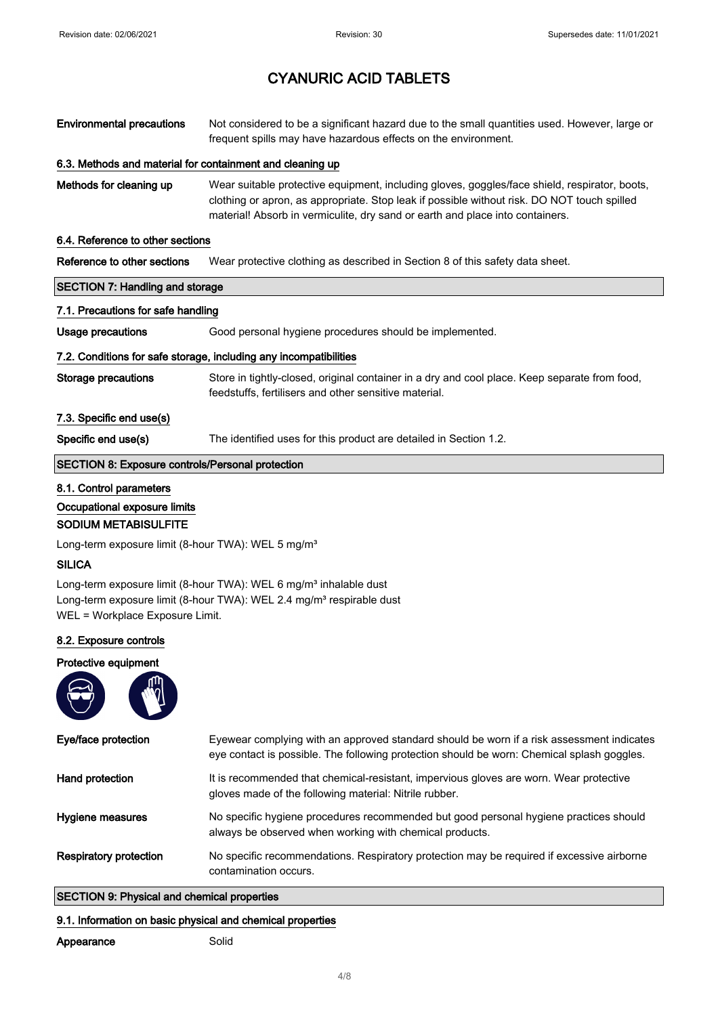| <b>Environmental precautions</b>                                                                                                                                                                     | Not considered to be a significant hazard due to the small quantities used. However, large or<br>frequent spills may have hazardous effects on the environment.                                                                                                               |  |
|------------------------------------------------------------------------------------------------------------------------------------------------------------------------------------------------------|-------------------------------------------------------------------------------------------------------------------------------------------------------------------------------------------------------------------------------------------------------------------------------|--|
| 6.3. Methods and material for containment and cleaning up                                                                                                                                            |                                                                                                                                                                                                                                                                               |  |
| Methods for cleaning up                                                                                                                                                                              | Wear suitable protective equipment, including gloves, goggles/face shield, respirator, boots,<br>clothing or apron, as appropriate. Stop leak if possible without risk. DO NOT touch spilled<br>material! Absorb in vermiculite, dry sand or earth and place into containers. |  |
| 6.4. Reference to other sections                                                                                                                                                                     |                                                                                                                                                                                                                                                                               |  |
| Reference to other sections                                                                                                                                                                          | Wear protective clothing as described in Section 8 of this safety data sheet.                                                                                                                                                                                                 |  |
| <b>SECTION 7: Handling and storage</b>                                                                                                                                                               |                                                                                                                                                                                                                                                                               |  |
| 7.1. Precautions for safe handling                                                                                                                                                                   |                                                                                                                                                                                                                                                                               |  |
| Usage precautions                                                                                                                                                                                    | Good personal hygiene procedures should be implemented.                                                                                                                                                                                                                       |  |
|                                                                                                                                                                                                      | 7.2. Conditions for safe storage, including any incompatibilities                                                                                                                                                                                                             |  |
| <b>Storage precautions</b>                                                                                                                                                                           | Store in tightly-closed, original container in a dry and cool place. Keep separate from food,<br>feedstuffs, fertilisers and other sensitive material.                                                                                                                        |  |
| 7.3. Specific end use(s)                                                                                                                                                                             |                                                                                                                                                                                                                                                                               |  |
| Specific end use(s)                                                                                                                                                                                  | The identified uses for this product are detailed in Section 1.2.                                                                                                                                                                                                             |  |
| <b>SECTION 8: Exposure controls/Personal protection</b>                                                                                                                                              |                                                                                                                                                                                                                                                                               |  |
| 8.1. Control parameters<br>Occupational exposure limits<br><b>SODIUM METABISULFITE</b>                                                                                                               |                                                                                                                                                                                                                                                                               |  |
| Long-term exposure limit (8-hour TWA): WEL 5 mg/m <sup>3</sup>                                                                                                                                       |                                                                                                                                                                                                                                                                               |  |
| <b>SILICA</b>                                                                                                                                                                                        |                                                                                                                                                                                                                                                                               |  |
| Long-term exposure limit (8-hour TWA): WEL 6 mg/m <sup>3</sup> inhalable dust<br>Long-term exposure limit (8-hour TWA): WEL 2.4 mg/m <sup>3</sup> respirable dust<br>WEL = Workplace Exposure Limit. |                                                                                                                                                                                                                                                                               |  |
| 8.2. Exposure controls                                                                                                                                                                               |                                                                                                                                                                                                                                                                               |  |
| Protective equipment                                                                                                                                                                                 |                                                                                                                                                                                                                                                                               |  |
| Eye/face protection                                                                                                                                                                                  | Eyewear complying with an approved standard should be worn if a risk assessment indicates<br>eye contact is possible. The following protection should be worn: Chemical splash goggles.                                                                                       |  |
| Hand protection                                                                                                                                                                                      | It is recommended that chemical-resistant, impervious gloves are worn. Wear protective<br>gloves made of the following material: Nitrile rubber.                                                                                                                              |  |
| Hygiene measures                                                                                                                                                                                     | No specific hygiene procedures recommended but good personal hygiene practices should<br>always be observed when working with chemical products.                                                                                                                              |  |
| <b>Respiratory protection</b>                                                                                                                                                                        | No specific recommendations. Respiratory protection may be required if excessive airborne<br>contamination occurs.                                                                                                                                                            |  |
| <b>SECTION 9: Physical and chemical properties</b>                                                                                                                                                   |                                                                                                                                                                                                                                                                               |  |

### 9.1. Information on basic physical and chemical properties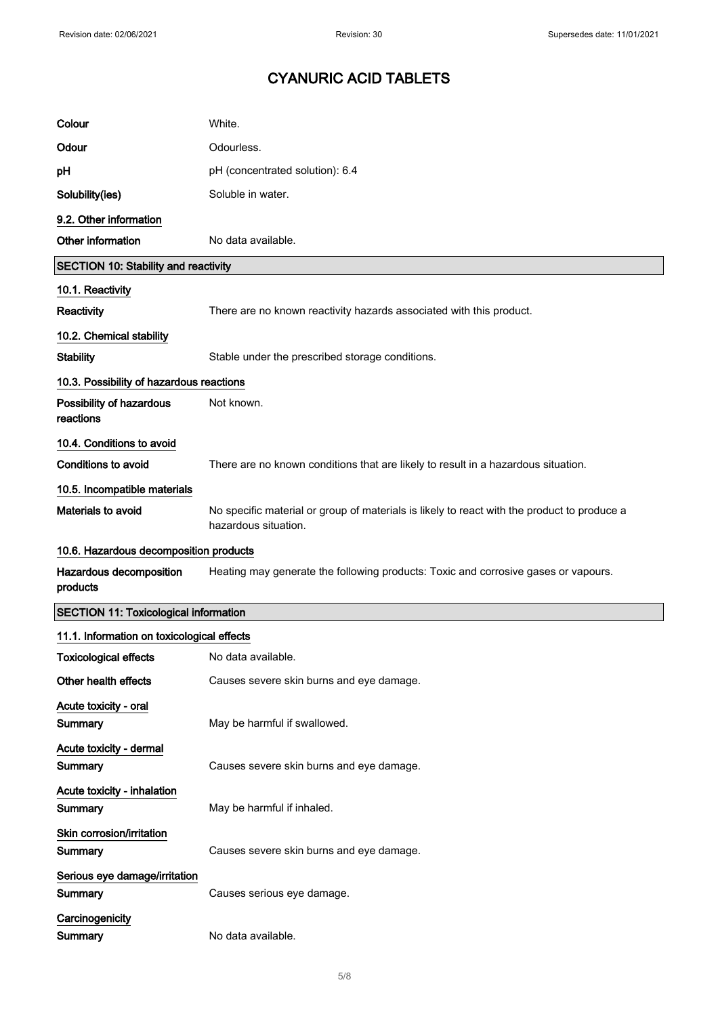| Colour                                       | White.                                                                                                              |
|----------------------------------------------|---------------------------------------------------------------------------------------------------------------------|
| Odour                                        | Odourless.                                                                                                          |
| рH                                           | pH (concentrated solution): 6.4                                                                                     |
| Solubility(ies)                              | Soluble in water.                                                                                                   |
| 9.2. Other information                       |                                                                                                                     |
| Other information                            | No data available.                                                                                                  |
| <b>SECTION 10: Stability and reactivity</b>  |                                                                                                                     |
| 10.1. Reactivity                             |                                                                                                                     |
| Reactivity                                   | There are no known reactivity hazards associated with this product.                                                 |
| 10.2. Chemical stability                     |                                                                                                                     |
| <b>Stability</b>                             | Stable under the prescribed storage conditions.                                                                     |
| 10.3. Possibility of hazardous reactions     |                                                                                                                     |
| Possibility of hazardous<br>reactions        | Not known.                                                                                                          |
| 10.4. Conditions to avoid                    |                                                                                                                     |
| <b>Conditions to avoid</b>                   | There are no known conditions that are likely to result in a hazardous situation.                                   |
| 10.5. Incompatible materials                 |                                                                                                                     |
| Materials to avoid                           | No specific material or group of materials is likely to react with the product to produce a<br>hazardous situation. |
|                                              |                                                                                                                     |
| 10.6. Hazardous decomposition products       |                                                                                                                     |
| Hazardous decomposition<br>products          | Heating may generate the following products: Toxic and corrosive gases or vapours.                                  |
| <b>SECTION 11: Toxicological information</b> |                                                                                                                     |
| 11.1. Information on toxicological effects   |                                                                                                                     |
| Toxicological effects                        | No data available.                                                                                                  |
| Other health effects                         | Causes severe skin burns and eye damage.                                                                            |
| Acute toxicity - oral<br>Summary             | May be harmful if swallowed.                                                                                        |
| Acute toxicity - dermal<br>Summary           | Causes severe skin burns and eye damage.                                                                            |
| Acute toxicity - inhalation<br>Summary       | May be harmful if inhaled.                                                                                          |
| Skin corrosion/irritation<br>Summary         | Causes severe skin burns and eye damage.                                                                            |
| Serious eye damage/irritation<br>Summary     | Causes serious eye damage.                                                                                          |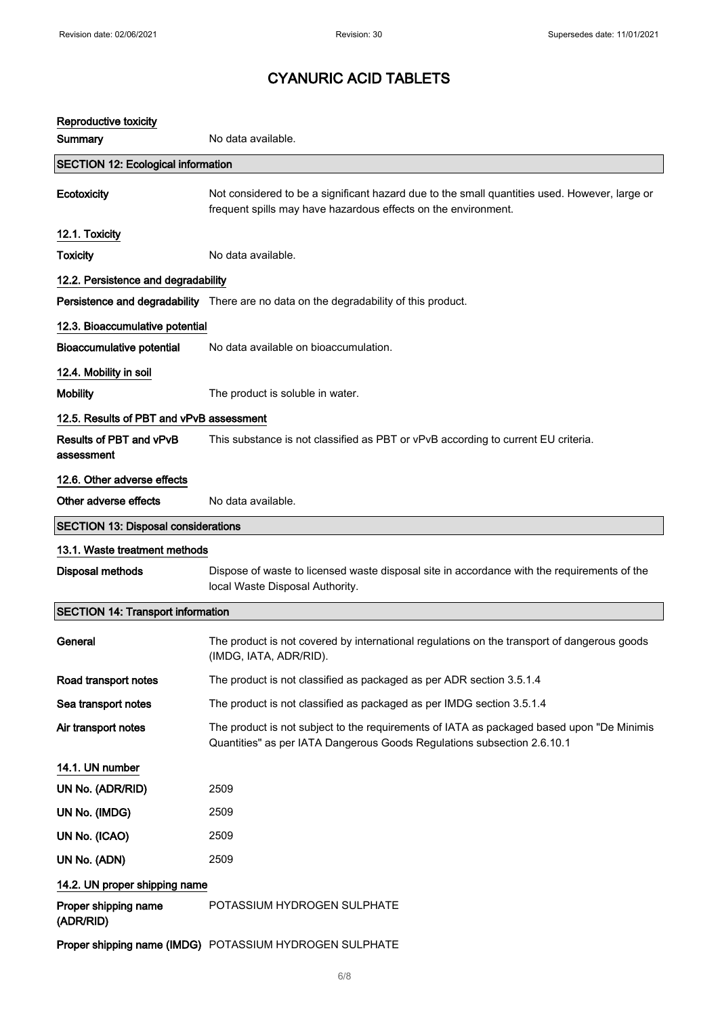| Reproductive toxicity                      |                                                                                                                                                                       |
|--------------------------------------------|-----------------------------------------------------------------------------------------------------------------------------------------------------------------------|
| Summary                                    | No data available.                                                                                                                                                    |
| <b>SECTION 12: Ecological information</b>  |                                                                                                                                                                       |
| Ecotoxicity                                | Not considered to be a significant hazard due to the small quantities used. However, large or<br>frequent spills may have hazardous effects on the environment.       |
| 12.1. Toxicity                             |                                                                                                                                                                       |
| <b>Toxicity</b>                            | No data available.                                                                                                                                                    |
| 12.2. Persistence and degradability        |                                                                                                                                                                       |
|                                            | Persistence and degradability There are no data on the degradability of this product.                                                                                 |
| 12.3. Bioaccumulative potential            |                                                                                                                                                                       |
| <b>Bioaccumulative potential</b>           | No data available on bioaccumulation.                                                                                                                                 |
| 12.4. Mobility in soil                     |                                                                                                                                                                       |
| <b>Mobility</b>                            | The product is soluble in water.                                                                                                                                      |
| 12.5. Results of PBT and vPvB assessment   |                                                                                                                                                                       |
| Results of PBT and vPvB<br>assessment      | This substance is not classified as PBT or vPvB according to current EU criteria.                                                                                     |
| 12.6. Other adverse effects                |                                                                                                                                                                       |
| Other adverse effects                      | No data available.                                                                                                                                                    |
| <b>SECTION 13: Disposal considerations</b> |                                                                                                                                                                       |
| 13.1. Waste treatment methods              |                                                                                                                                                                       |
| <b>Disposal methods</b>                    | Dispose of waste to licensed waste disposal site in accordance with the requirements of the<br>local Waste Disposal Authority.                                        |
| <b>SECTION 14: Transport information</b>   |                                                                                                                                                                       |
| General                                    | The product is not covered by international regulations on the transport of dangerous goods<br>(IMDG, IATA, ADR/RID).                                                 |
| Road transport notes                       | The product is not classified as packaged as per ADR section 3.5.1.4                                                                                                  |
| Sea transport notes                        | The product is not classified as packaged as per IMDG section 3.5.1.4                                                                                                 |
| Air transport notes                        | The product is not subject to the requirements of IATA as packaged based upon "De Minimis"<br>Quantities" as per IATA Dangerous Goods Regulations subsection 2.6.10.1 |
| 14.1. UN number                            |                                                                                                                                                                       |
| UN No. (ADR/RID)                           | 2509                                                                                                                                                                  |
| UN No. (IMDG)                              | 2509                                                                                                                                                                  |
| UN No. (ICAO)                              | 2509                                                                                                                                                                  |
| UN No. (ADN)                               | 2509                                                                                                                                                                  |
| 14.2. UN proper shipping name              |                                                                                                                                                                       |
| Proper shipping name<br>(ADR/RID)          | POTASSIUM HYDROGEN SULPHATE                                                                                                                                           |
|                                            | Proper shipping name (IMDG) POTASSIUM HYDROGEN SULPHATE                                                                                                               |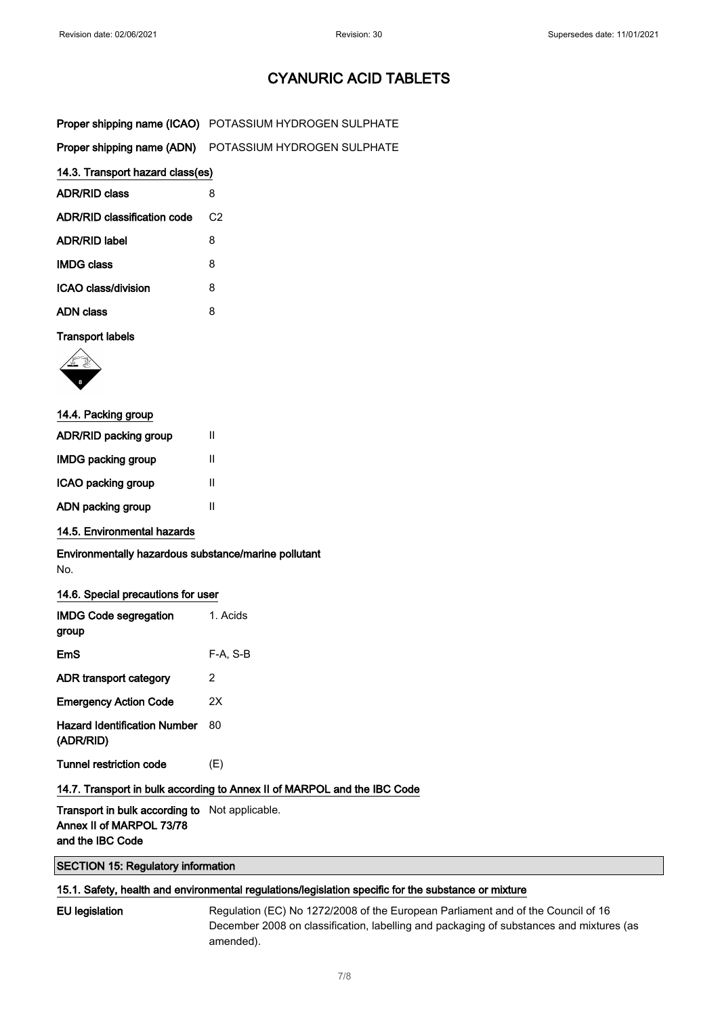| <b>Proper shipping name (ICAO)</b> POTASSIUM HYDROGEN SULPHATE |
|----------------------------------------------------------------|
|                                                                |

|  | Proper shipping name (ADN) POTASSIUM HYDROGEN SULPHATE |
|--|--------------------------------------------------------|
|--|--------------------------------------------------------|

### 14.3. Transport hazard class(es)

| <b>ADR/RID class</b>        | 8              |
|-----------------------------|----------------|
| ADR/RID classification code | C <sub>2</sub> |
| <b>ADR/RID label</b>        | 8              |
| <b>IMDG class</b>           | 8              |
| ICAO class/division         | 8              |
| <b>ADN class</b>            | 8              |

### Transport labels



| 14.4. Packing group       |   |
|---------------------------|---|
| ADR/RID packing group     | Ш |
| <b>IMDG packing group</b> | Ш |
| ICAO packing group        | Ш |
| ADN packing group         | Ш |

14.5. Environmental hazards

Environmentally hazardous substance/marine pollutant No.

### 14.6. Special precautions for user

| <b>IMDG Code segregation</b><br>group                                    | 1. Acids   |  |
|--------------------------------------------------------------------------|------------|--|
| EmS                                                                      | $F-A. S-B$ |  |
| ADR transport category                                                   | 2          |  |
| <b>Emergency Action Code</b>                                             | 2X         |  |
| <b>Hazard Identification Number</b><br>(ADR/RID)                         | 80         |  |
| Tunnel restriction code                                                  | (E)        |  |
| 14.7. Transport in bulk according to Annex II of MARPOL and the IBC Code |            |  |
|                                                                          |            |  |

### Transport in bulk according to Not applicable. Annex II of MARPOL 73/78 and the IBC Code

### SECTION 15: Regulatory information

### 15.1. Safety, health and environmental regulations/legislation specific for the substance or mixture

EU legislation Regulation (EC) No 1272/2008 of the European Parliament and of the Council of 16 December 2008 on classification, labelling and packaging of substances and mixtures (as amended).